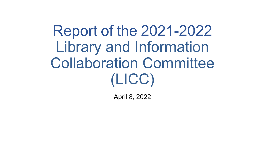Report of the 2021-2022 Library and Information Collaboration Committee (LICC)

April 8, 2022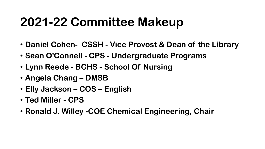#### **2021-22 Committee Makeup**

- **Daniel Cohen- CSSH - Vice Provost & Dean of the Library**
- **Sean O'Connell - CPS - Undergraduate Programs**
- **Lynn Reede - BCHS - School Of Nursing**
- **Angela Chang – DMSB**
- **Elly Jackson – COS – English**
- **Ted Miller - CPS**
- **Ronald J. Willey -COE Chemical Engineering, Chair**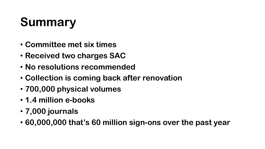## **Summary**

- **Committee met six times**
- **Received two charges SAC**
- **No resolutions recommended**
- **Collection is coming back after renovation**
- **700,000 physical volumes**
- **1.4 million e-books**
- **7,000 journals**
- **60,000,000 that's 60 million sign-ons over the past year**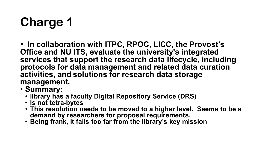# **Charge 1**

• **In collaboration with ITPC, RPOC, LICC, the Provost's Office and NU ITS, evaluate the university's integrated services that support the research data lifecycle, including protocols for data management and related data curation activities, and solutions for research data storage management.**

- **Summary:**
	- **library has a faculty Digital Repository Service (DRS)**
	- **Is not tetra-bytes**
	- **This resolution needs to be moved to a higher level. Seems to be a demand by researchers for proposal requirements.**
	- **Being frank, it falls too far from the library's key mission**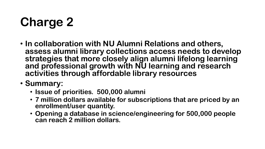# **Charge 2**

- **In collaboration with NU Alumni Relations and others, assess alumni library collections access needs to develop strategies that more closely align alumni lifelong learning and professional growth with NU learning and research activities through affordable library resources**
- **Summary:**
	- **Issue of priorities. 500,000 alumni**
	- **7 million dollars available for subscriptions that are priced by an enrollment/user quantity.**
	- **Opening a database in science/engineering for 500,000 people can reach 2 million dollars.**